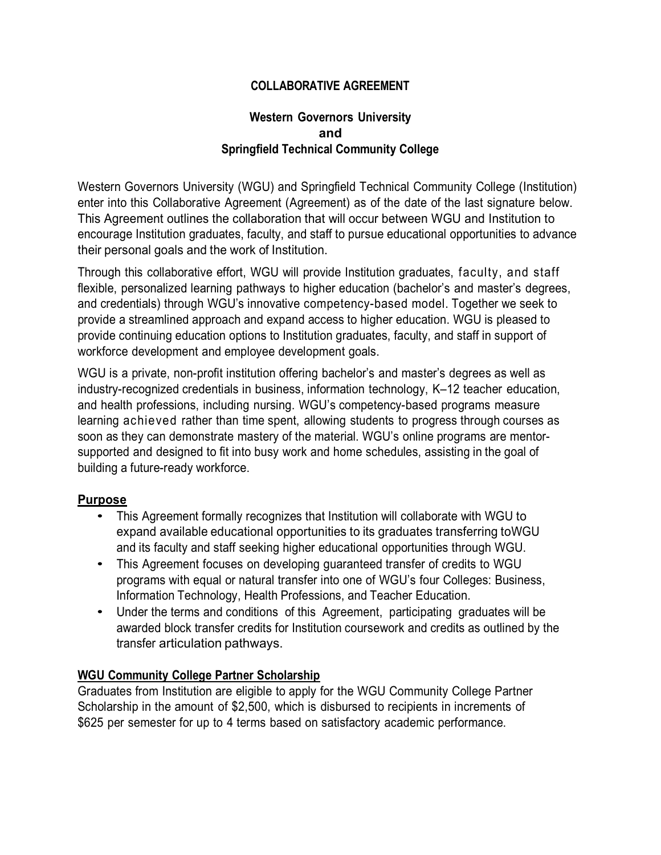# **COLLABORATIVE AGREEMENT**

### **Western Governors University and Springfield Technical Community College**

Western Governors University (WGU) and Springfield Technical Community College (Institution) enter into this Collaborative Agreement (Agreement) as of the date of the last signature below. This Agreement outlines the collaboration that will occur between WGU and Institution to encourage Institution graduates, faculty, and staff to pursue educational opportunities to advance their personal goals and the work of Institution.

Through this collaborative effort, WGU will provide Institution graduates, faculty, and staff flexible, personalized learning pathways to higher education (bachelor's and master's degrees, and credentials) through WGU's innovative competency-based model. Together we seek to provide a streamlined approach and expand access to higher education. WGU is pleased to provide continuing education options to Institution graduates, faculty, and staff in support of workforce development and employee development goals.

WGU is a private, non-profit institution offering bachelor's and master's degrees as well as industry-recognized credentials in business, information technology, K–12 teacher education, and health professions, including nursing. WGU's competency-based programs measure learning achieved rather than time spent, allowing students to progress through courses as soon as they can demonstrate mastery of the material. WGU's online programs are mentorsupported and designed to fit into busy work and home schedules, assisting in the goal of building a future-ready workforce.

#### **Purpose**

- This Agreement formally recognizes that Institution will collaborate with WGU to expand available educational opportunities to its graduates transferring toWGU and its faculty and staff seeking higher educational opportunities through WGU.
- This Agreement focuses on developing guaranteed transfer of credits to WGU programs with equal or natural transfer into one of WGU's four Colleges: Business, Information Technology, Health Professions, and Teacher Education.
- Under the terms and conditions of this Agreement, participating graduates will be awarded block transfer credits for Institution coursework and credits as outlined by the transfer articulation pathways.

#### **WGU Community College Partner Scholarship**

Graduates from Institution are eligible to apply for the WGU Community College Partner Scholarship in the amount of \$2,500, which is disbursed to recipients in increments of \$625 per semester for up to 4 terms based on satisfactory academic performance.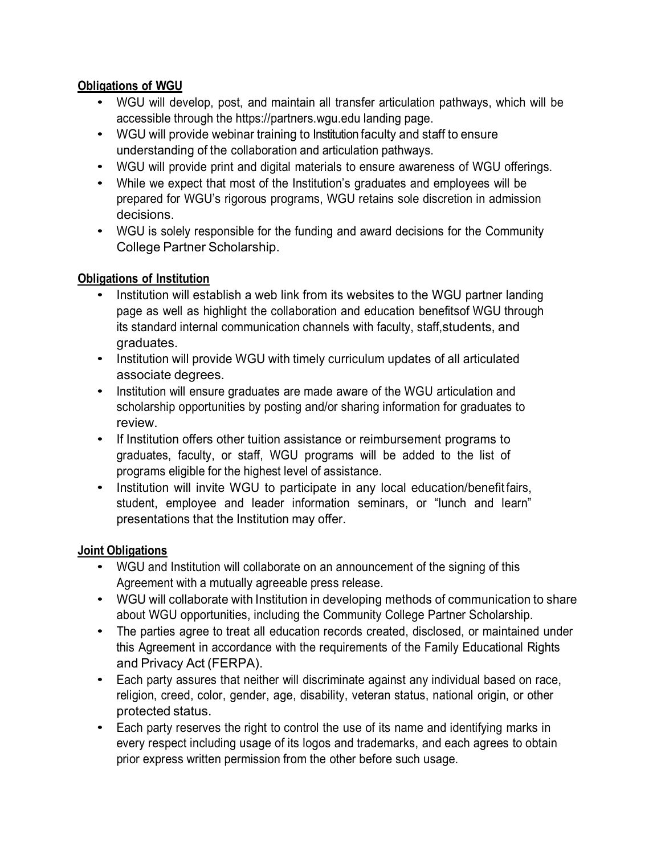# **Obligations of WGU**

- WGU will develop, post, and maintain all transfer articulation pathways, which will be accessible through the [https://partners.wgu.edu](https://partners.wgu.edu/) landing page.
- WGU will provide webinar training to Institution faculty and staff to ensure understanding of the collaboration and articulation pathways.
- WGU will provide print and digital materials to ensure awareness of WGU offerings.
- While we expect that most of the Institution's graduates and employees will be prepared for WGU's rigorous programs, WGU retains sole discretion in admission decisions.
- WGU is solely responsible for the funding and award decisions for the Community College Partner Scholarship.

# **Obligations of Institution**

- Institution will establish a web link from its websites to the WGU partner landing page as well as highlight the collaboration and education benefitsof WGU through its standard internal communication channels with faculty, staff,students, and graduates.
- Institution will provide WGU with timely curriculum updates of all articulated associate degrees.
- Institution will ensure graduates are made aware of the WGU articulation and scholarship opportunities by posting and/or sharing information for graduates to review.
- If Institution offers other tuition assistance or reimbursement programs to graduates, faculty, or staff, WGU programs will be added to the list of programs eligible for the highest level of assistance.
- Institution will invite WGU to participate in any local education/benefit fairs, student, employee and leader information seminars, or "lunch and learn" presentations that the Institution may offer.

# **Joint Obligations**

- WGU and Institution will collaborate on an announcement of the signing of this Agreement with a mutually agreeable press release.
- WGU will collaborate with Institution in developing methods of communication to share about WGU opportunities, including the Community College Partner Scholarship.
- The parties agree to treat all education records created, disclosed, or maintained under this Agreement in accordance with the requirements of the Family Educational Rights and Privacy Act (FERPA).
- Each party assures that neither will discriminate against any individual based on race, religion, creed, color, gender, age, disability, veteran status, national origin, or other protected status.
- Each party reserves the right to control the use of its name and identifying marks in every respect including usage of its logos and trademarks, and each agrees to obtain prior express written permission from the other before such usage.